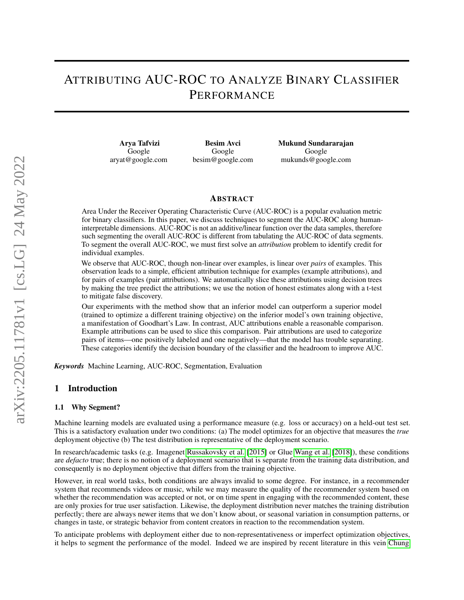# ATTRIBUTING AUC-ROC TO ANALYZE BINARY CLASSIFIER PERFORMANCE

Arya Tafvizi Google aryat@google.com

Besim Avci Google besim@google.com

Mukund Sundararajan Google mukunds@google.com

#### ABSTRACT

Area Under the Receiver Operating Characteristic Curve (AUC-ROC) is a popular evaluation metric for binary classifiers. In this paper, we discuss techniques to segment the AUC-ROC along humaninterpretable dimensions. AUC-ROC is not an additive/linear function over the data samples, therefore such segmenting the overall AUC-ROC is different from tabulating the AUC-ROC of data segments. To segment the overall AUC-ROC, we must first solve an *attribution* problem to identify credit for individual examples.

We observe that AUC-ROC, though non-linear over examples, is linear over *pairs* of examples. This observation leads to a simple, efficient attribution technique for examples (example attributions), and for pairs of examples (pair attributions). We automatically slice these attributions using decision trees by making the tree predict the attributions; we use the notion of honest estimates along with a t-test to mitigate false discovery.

Our experiments with the method show that an inferior model can outperform a superior model (trained to optimize a different training objective) on the inferior model's own training objective, a manifestation of Goodhart's Law. In contrast, AUC attributions enable a reasonable comparison. Example attributions can be used to slice this comparison. Pair attributions are used to categorize pairs of items—one positively labeled and one negatively—that the model has trouble separating. These categories identify the decision boundary of the classifier and the headroom to improve AUC.

*Keywords* Machine Learning, AUC-ROC, Segmentation, Evaluation

## 1 Introduction

#### 1.1 Why Segment?

Machine learning models are evaluated using a performance measure (e.g. loss or accuracy) on a held-out test set. This is a satisfactory evaluation under two conditions: (a) The model optimizes for an objective that measures the *true* deployment objective (b) The test distribution is representative of the deployment scenario.

In research/academic tasks (e.g. Imagenet [Russakovsky et al.](#page-11-0) [\[2015\]](#page-11-0) or Glue [Wang et al.](#page-11-1) [\[2018\]](#page-11-1)), these conditions are *defacto* true; there is no notion of a deployment scenario that is separate from the training data distribution, and consequently is no deployment objective that differs from the training objective.

However, in real world tasks, both conditions are always invalid to some degree. For instance, in a recommender system that recommends videos or music, while we may measure the quality of the recommender system based on whether the recommendation was accepted or not, or on time spent in engaging with the recommended content, these are only proxies for true user satisfaction. Likewise, the deployment distribution never matches the training distribution perfectly; there are always newer items that we don't know about, or seasonal variation in consumption patterns, or changes in taste, or strategic behavior from content creators in reaction to the recommendation system.

To anticipate problems with deployment either due to non-representativeness or imperfect optimization objectives, it helps to segment the performance of the model. Indeed we are inspired by recent literature in this vein [Chung](#page-11-2)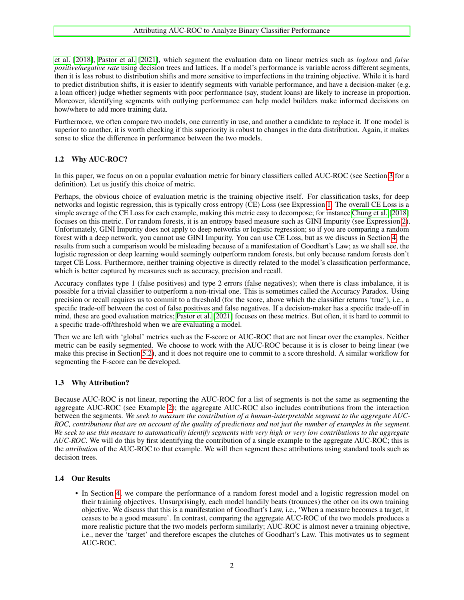[et al.](#page-11-2) [\[2018\]](#page-11-2), [Pastor et al.](#page-11-3) [\[2021\]](#page-11-3), which segment the evaluation data on linear metrics such as *logloss* and *false positive/negative rate* using decision trees and lattices. If a model's performance is variable across different segments, then it is less robust to distribution shifts and more sensitive to imperfections in the training objective. While it is hard to predict distribution shifts, it is easier to identify segments with variable performance, and have a decision-maker (e.g. a loan officer) judge whether segments with poor performance (say, student loans) are likely to increase in proportion. Moreover, identifying segments with outlying performance can help model builders make informed decisions on how/where to add more training data.

Furthermore, we often compare two models, one currently in use, and another a candidate to replace it. If one model is superior to another, it is worth checking if this superiority is robust to changes in the data distribution. Again, it makes sense to slice the difference in performance between the two models.

## <span id="page-1-0"></span>1.2 Why AUC-ROC?

In this paper, we focus on on a popular evaluation metric for binary classifiers called AUC-ROC (see Section [3](#page-2-0) for a definition). Let us justify this choice of metric.

Perhaps, the obvious choice of evaluation metric is the training objective itself. For classification tasks, for deep networks and logistic regression, this is typically cross entropy (CE) Loss (see Expression [1.](#page-3-0) The overall CE Loss is a simple average of the CE Loss for each example, making this metric easy to decompose; for instance [Chung et al.](#page-11-2) [\[2018\]](#page-11-2) focuses on this metric. For random forests, it is an entropy based measure such as GINI Impurity (see Expression [2\)](#page-3-1). Unfortunately, GINI Impurity does not apply to deep networks or logistic regression; so if you are comparing a random forest with a deep network, you cannot use GINI Impurity. You can use CE Loss, but as we discuss in Section [4,](#page-4-0) the results from such a comparison would be misleading because of a manifestation of Goodhart's Law; as we shall see, the logistic regression or deep learning would seemingly outperform random forests, but only because random forests don't target CE Loss. Furthermore, neither training objective is directly related to the model's classification performance, which is better captured by measures such as accuracy, precision and recall.

Accuracy conflates type 1 (false positives) and type 2 errors (false negatives); when there is class imbalance, it is possible for a trivial classifier to outperform a non-trivial one. This is sometimes called the Accuracy Paradox. Using precision or recall requires us to commit to a threshold (for the score, above which the classifier returns 'true'), i.e., a specific trade-off between the cost of false positives and false negatives. If a decision-maker has a specific trade-off in mind, these are good evaluation metrics; [Pastor et al.](#page-11-3) [\[2021\]](#page-11-3) focuses on these metrics. But often, it is hard to commit to a specific trade-off/threshold when we are evaluating a model.

Then we are left with 'global' metrics such as the F-score or AUC-ROC that are not linear over the examples. Neither metric can be easily segmented. We choose to work with the AUC-ROC because it is is closer to being linear (we make this precise in Section [5.2\)](#page-5-0), and it does not require one to commit to a score threshold. A similar workflow for segmenting the F-score can be developed.

## 1.3 Why Attribution?

Because AUC-ROC is not linear, reporting the AUC-ROC for a list of segments is not the same as segmenting the aggregate AUC-ROC (see Example [2\)](#page-5-1); the aggregate AUC-ROC also includes contributions from the interaction between the segments. *We seek to measure the contribution of a human-interpretable segment to the aggregate AUC-ROC, contributions that are on account of the quality of predictions and not just the number of examples in the segment. We seek to use this measure to automatically identify segments with very high or very low contributions to the aggregate AUC-ROC.* We will do this by first identifying the contribution of a single example to the aggregate AUC-ROC; this is the *attribution* of the AUC-ROC to that example. We will then segment these attributions using standard tools such as decision trees.

## 1.4 Our Results

• In Section [4,](#page-4-0) we compare the performance of a random forest model and a logistic regression model on their training objectives. Unsurprisingly, each model handily beats (trounces) the other on its own training objective. We discuss that this is a manifestation of Goodhart's Law, i.e., 'When a measure becomes a target, it ceases to be a good measure'. In contrast, comparing the aggregate AUC-ROC of the two models produces a more realistic picture that the two models perform similarly; AUC-ROC is almost never a training objective, i.e., never the 'target' and therefore escapes the clutches of Goodhart's Law. This motivates us to segment AUC-ROC.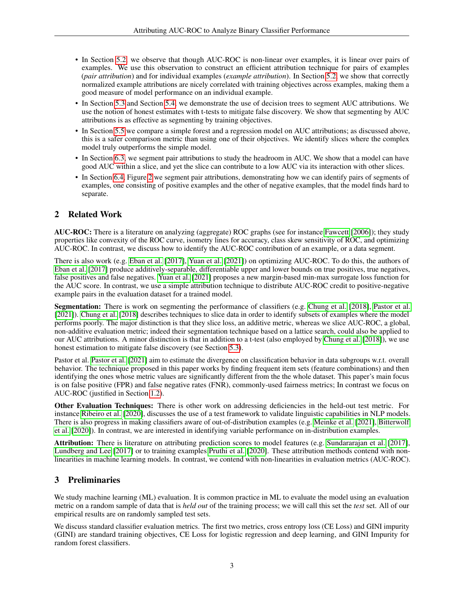- In Section [5.2,](#page-5-0) we observe that though AUC-ROC is non-linear over examples, it is linear over pairs of examples. We use this observation to construct an efficient attribution technique for pairs of examples (*pair attribution*) and for individual examples (*example attribution*). In Section [5.2,](#page-5-0) we show that correctly normalized example attributions are nicely correlated with training objectives across examples, making them a good measure of model performance on an individual example.
- In Section [5.3](#page-6-0) and Section [5.4,](#page-6-1) we demonstrate the use of decision trees to segment AUC attributions. We use the notion of honest estimates with t-tests to mitigate false discovery. We show that segmenting by AUC attributions is as effective as segmenting by training objectives.
- In Section [5.5](#page-6-2) we compare a simple forest and a regression model on AUC attributions; as discussed above, this is a safer comparison metric than using one of their objectives. We identify slices where the complex model truly outperforms the simple model.
- In Section [6.3,](#page-8-0) we segment pair attributions to study the headroom in AUC. We show that a model can have good AUC within a slice, and yet the slice can contribute to a low AUC via its interaction with other slices.
- In Section [6.4,](#page-9-0) Figure [2](#page-9-1) we segment pair attributions, demonstrating how we can identify pairs of segments of examples, one consisting of positive examples and the other of negative examples, that the model finds hard to separate.

# 2 Related Work

AUC-ROC: There is a literature on analyzing (aggregate) ROC graphs (see for instance [Fawcett](#page-11-4) [\[2006\]](#page-11-4)); they study properties like convexity of the ROC curve, isometry lines for accuracy, class skew sensitivity of ROC, and optimizing AUC-ROC. In contrast, we discuss how to identify the AUC-ROC contribution of an example, or a data segment.

There is also work (e.g. [Eban et al.](#page-11-5) [\[2017\]](#page-11-5), [Yuan et al.](#page-11-6) [\[2021\]](#page-11-6)) on optimizing AUC-ROC. To do this, the authors of [Eban et al.](#page-11-5) [\[2017\]](#page-11-5) produce additively-separable, differentiable upper and lower bounds on true positives, true negatives, false positives and false negatives. [Yuan et al.](#page-11-6) [\[2021\]](#page-11-6) proposes a new margin-based min-max surrogate loss function for the AUC score. In contrast, we use a simple attribution technique to distribute AUC-ROC credit to positive-negative example pairs in the evaluation dataset for a trained model.

Segmentation: There is work on segmenting the performance of classifiers (e.g. [Chung et al.](#page-11-2) [\[2018\]](#page-11-2), [Pastor et al.](#page-11-3) [\[2021\]](#page-11-3)). [Chung et al.](#page-11-2) [\[2018\]](#page-11-2) describes techniques to slice data in order to identify subsets of examples where the model performs poorly. The major distinction is that they slice loss, an additive metric, whereas we slice AUC-ROC, a global, non-additive evaluation metric; indeed their segmentation technique based on a lattice search, could also be applied to our AUC attributions. A minor distinction is that in addition to a t-test (also employed by [Chung et al.](#page-11-2) [\[2018\]](#page-11-2)), we use honest estimation to mitigate false discovery (see Section [5.3\)](#page-6-0).

Pastor et al. [Pastor et al.](#page-11-3) [\[2021\]](#page-11-3) aim to estimate the divergence on classification behavior in data subgroups w.r.t. overall behavior. The technique proposed in this paper works by finding frequent item sets (feature combinations) and then identifying the ones whose metric values are significantly different from the the whole dataset. This paper's main focus is on false positive (FPR) and false negative rates (FNR), commonly-used fairness metrics; In contrast we focus on AUC-ROC (justified in Section [1.2\)](#page-1-0).

Other Evaluation Techniques: There is other work on addressing deficiencies in the held-out test metric. For instance [Ribeiro et al.](#page-11-7) [\[2020\]](#page-11-7), discusses the use of a test framework to validate linguistic capabilities in NLP models. There is also progress in making classifiers aware of out-of-distribution examples (e.g. [Meinke et al.](#page-11-8) [\[2021\]](#page-11-8), [Bitterwolf](#page-11-9) [et al.](#page-11-9) [\[2020\]](#page-11-9)). In contrast, we are interested in identifying variable performance on in-distribution examples.

Attribution: There is literature on attributing prediction scores to model features (e.g. [Sundararajan et al.](#page-11-10) [\[2017\]](#page-11-10), [Lundberg and Lee](#page-11-11) [\[2017\]](#page-11-11) or to training examples [Pruthi et al.](#page-11-12) [\[2020\]](#page-11-12). These attribution methods contend with nonlinearities in machine learning models. In contrast, we contend with non-linearities in evaluation metrics (AUC-ROC).

# <span id="page-2-0"></span>3 Preliminaries

We study machine learning (ML) evaluation. It is common practice in ML to evaluate the model using an evaluation metric on a random sample of data that is *held out* of the training process; we will call this set the *test* set. All of our empirical results are on randomly sampled test sets.

We discuss standard classifier evaluation metrics. The first two metrics, cross entropy loss (CE Loss) and GINI impurity (GINI) are standard training objectives, CE Loss for logistic regression and deep learning, and GINI Impurity for random forest classifiers.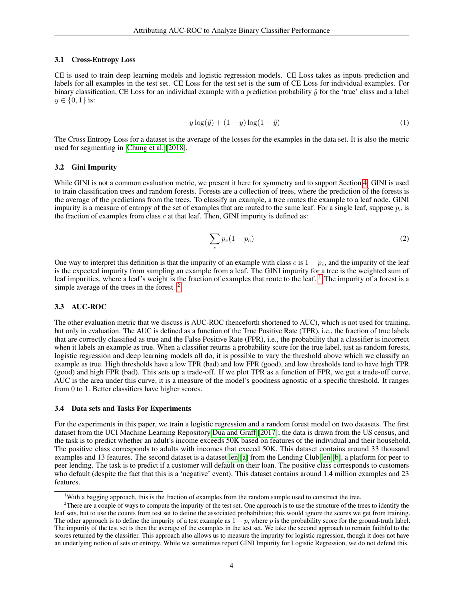#### 3.1 Cross-Entropy Loss

CE is used to train deep learning models and logistic regression models. CE Loss takes as inputs prediction and labels for all examples in the test set. CE Loss for the test set is the sum of CE Loss for individual examples. For binary classification, CE Loss for an individual example with a prediction probability  $\hat{y}$  for the 'true' class and a label  $y \in \{0, 1\}$  is:

<span id="page-3-0"></span>
$$
-y\log(\hat{y}) + (1-y)\log(1-\hat{y})\tag{1}
$$

The Cross Entropy Loss for a dataset is the average of the losses for the examples in the data set. It is also the metric used for segmenting in [Chung et al.](#page-11-2) [\[2018\]](#page-11-2).

#### 3.2 Gini Impurity

While GINI is not a common evaluation metric, we present it here for symmetry and to support Section [4.](#page-4-0) GINI is used to train classification trees and random forests. Forests are a collection of trees, where the prediction of the forests is the average of the predictions from the trees. To classify an example, a tree routes the example to a leaf node. GINI impurity is a measure of entropy of the set of examples that are routed to the same leaf. For a single leaf, suppose  $p_c$  is the fraction of examples from class  $c$  at that leaf. Then, GINI impurity is defined as:

<span id="page-3-1"></span>
$$
\sum_{c} p_c (1 - p_c) \tag{2}
$$

One way to interpret this definition is that the impurity of an example with class c is  $1 - p_c$ , and the impurity of the leaf is the expected impurity from sampling an example from a leaf. The GINI impurity for a tree is the weighted sum of leaf impurities, where a leaf's weight is the fraction of examples that route to the leaf. <sup>[1](#page-3-2)</sup> The impurity of a forest is a simple average of the trees in the forest.<sup>[2](#page-3-3)</sup>

#### 3.3 AUC-ROC

The other evaluation metric that we discuss is AUC-ROC (henceforth shortened to AUC), which is not used for training, but only in evaluation. The AUC is defined as a function of the True Positive Rate (TPR), i.e., the fraction of true labels that are correctly classified as true and the False Positive Rate (FPR), i.e., the probability that a classifier is incorrect when it labels an example as true. When a classifier returns a probability score for the true label, just as random forests, logistic regression and deep learning models all do, it is possible to vary the threshold above which we classify an example as true. High thresholds have a low TPR (bad) and low FPR (good), and low thresholds tend to have high TPR (good) and high FPR (bad). This sets up a trade-off. If we plot TPR as a function of FPR, we get a trade-off curve. AUC is the area under this curve, it is a measure of the model's goodness agnostic of a specific threshold. It ranges from 0 to 1. Better classifiers have higher scores.

#### <span id="page-3-4"></span>3.4 Data sets and Tasks For Experiments

For the experiments in this paper, we train a logistic regression and a random forest model on two datasets. The first dataset from the UCI Machine Learning Repository [Dua and Graff](#page-11-13) [\[2017\]](#page-11-13); the data is drawn from the US census, and the task is to predict whether an adult's income exceeds 50K based on features of the individual and their household. The positive class corresponds to adults with incomes that exceed 50K. This dataset contains around 33 thousand examples and 13 features. The second dataset is a dataset [len](#page-11-14) [\[a\]](#page-11-14) from the Lending Club [len](#page-11-15) [\[b\]](#page-11-15), a platform for peer to peer lending. The task is to predict if a customer will default on their loan. The positive class corresponds to customers who default (despite the fact that this is a 'negative' event). This dataset contains around 1.4 million examples and 23 features.

<span id="page-3-3"></span><span id="page-3-2"></span><sup>&</sup>lt;sup>1</sup>With a bagging approach, this is the fraction of examples from the random sample used to construct the tree.

<sup>&</sup>lt;sup>2</sup>There are a couple of ways to compute the impurity of the test set. One approach is to use the structure of the trees to identify the leaf sets, but to use the counts from test set to define the associated probabilities; this would ignore the scores we get from training. The other approach is to define the impurity of a test example as  $1 - p$ , where p is the probability score for the ground-truth label. The impurity of the test set is then the average of the examples in the test set. We take the second approach to remain faithful to the scores returned by the classifier. This approach also allows us to measure the impurity for logistic regression, though it does not have an underlying notion of sets or entropy. While we sometimes report GINI Impurity for Logistic Regression, we do not defend this.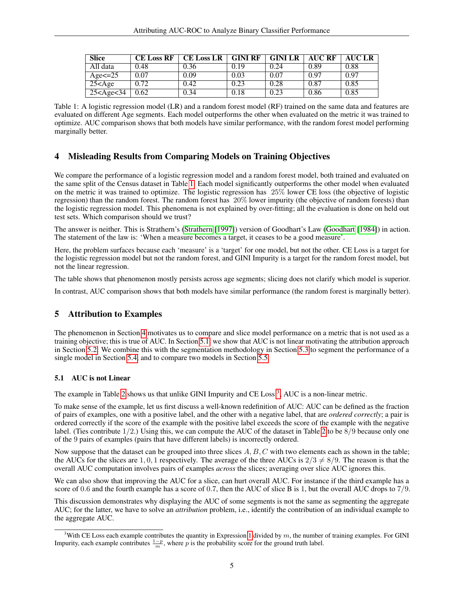| <b>Slice</b>      | <b>CE Loss RF</b> | <b>CE Loss LR</b> | <b>GINI RF</b> | <b>GINI LR</b> | AUC RF | <b>AUC LR</b> |
|-------------------|-------------------|-------------------|----------------|----------------|--------|---------------|
| All data          | 0.48              | 0.36              | 0.19           | 0.24           | 0.89   | 0.88          |
| Age $\leq$ =25    | 0.07              | 0.09              | 0.03           | 0.07           | 0.97   | 0.97          |
| $25 <$ Age        | 0.72              | 0.42              | 0.23           | 0.28           | 0.87   | 0.85          |
| $25 <$ Age $<$ 34 | 0.62              | 0.34              | 0.18           | 0.23           | 0.86   | 0.85          |

<span id="page-4-1"></span>Table 1: A logistic regression model (LR) and a random forest model (RF) trained on the same data and features are evaluated on different Age segments. Each model outperforms the other when evaluated on the metric it was trained to optimize. AUC comparison shows that both models have similar performance, with the random forest model performing marginally better.

# <span id="page-4-0"></span>4 Misleading Results from Comparing Models on Training Objectives

We compare the performance of a logistic regression model and a random forest model, both trained and evaluated on the same split of the Census dataset in Table [1.](#page-4-1) Each model significantly outperforms the other model when evaluated on the metric it was trained to optimize. The logistic regression has 25% lower CE loss (the objective of logistic regression) than the random forest. The random forest has 20% lower impurity (the objective of random forests) than the logistic regression model. This phenomena is not explained by over-fitting; all the evaluation is done on held out test sets. Which comparison should we trust?

The answer is neither. This is Strathern's [\(Strathern](#page-11-16) [\[1997\]](#page-11-16)) version of Goodhart's Law [\(Goodhart](#page-11-17) [\[1984\]](#page-11-17)) in action. The statement of the law is: 'When a measure becomes a target, it ceases to be a good measure'.

Here, the problem surfaces because each 'measure' is a 'target' for one model, but not the other. CE Loss is a target for the logistic regression model but not the random forest, and GINI Impurity is a target for the random forest model, but not the linear regression.

The table shows that phenomenon mostly persists across age segments; slicing does not clarify which model is superior.

In contrast, AUC comparison shows that both models have similar performance (the random forest is marginally better).

# 5 Attribution to Examples

The phenomenon in Section [4](#page-4-0) motivates us to compare and slice model performance on a metric that is not used as a training objective; this is true of AUC. In Section [5.1,](#page-4-2) we show that AUC is not linear motivating the attribution approach in Section [5.2.](#page-5-0) We combine this with the segmentation methodology in Section [5.3](#page-6-0) to segment the performance of a single model in Section [5.4,](#page-6-1) and to compare two models in Section [5.5.](#page-6-2)

#### <span id="page-4-2"></span>5.1 AUC is not Linear

The example in Table [2](#page-5-1) shows us that unlike GINI Impurity and CE Loss<sup>[3](#page-4-3)</sup>, AUC is a non-linear metric.

To make sense of the example, let us first discuss a well-known redefinition of AUC: AUC can be defined as the fraction of pairs of examples, one with a positive label, and the other with a negative label, that are *ordered correctly*; a pair is ordered correctly if the score of the example with the positive label exceeds the score of the example with the negative label. (Ties contribute  $1/2$ .) Using this, we can compute the AUC of the dataset in Table [2](#page-5-1) to be  $8/9$  because only one of the 9 pairs of examples (pairs that have different labels) is incorrectly ordered.

Now suppose that the dataset can be grouped into three slices  $A, B, C$  with two elements each as shown in the table; the AUCs for the slices are 1, 0, 1 respectively. The average of the three AUCs is  $2/3 \neq 8/9$ . The reason is that the overall AUC computation involves pairs of examples *across* the slices; averaging over slice AUC ignores this.

We can also show that improving the AUC for a slice, can hurt overall AUC. For instance if the third example has a score of 0.6 and the fourth example has a score of 0.7, then the AUC of slice B is 1, but the overall AUC drops to  $7/9$ .

This discussion demonstrates why displaying the AUC of some segments is not the same as segmenting the aggregate AUC; for the latter, we have to solve an *attribution* problem, i.e., identify the contribution of an individual example to the aggregate AUC.

<span id="page-4-3"></span><sup>&</sup>lt;sup>3</sup>With CE Loss each example contributes the quantity in Expression [1](#page-3-0) divided by  $m$ , the number of training examples. For GINI Impurity, each example contributes  $\frac{1-p}{m}$ , where p is the probability score for the ground truth label.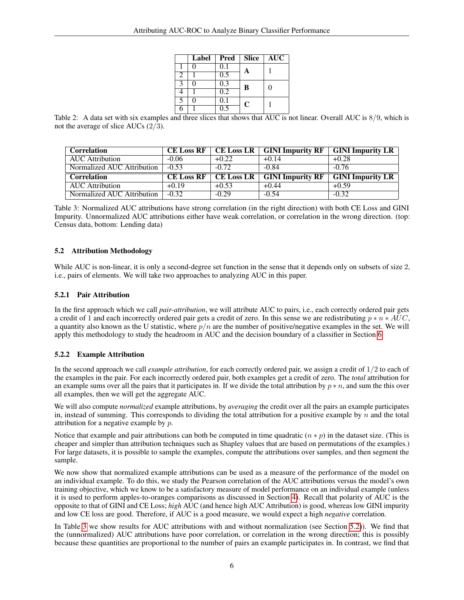|   | Label | Pred             | Slice        | <b>AUC</b> |
|---|-------|------------------|--------------|------------|
|   |       | 0.1              |              |            |
| 2 |       | 0.5              | $\mathbf{A}$ |            |
| 3 |       | 0.3              | B            | 0          |
|   |       | $\overline{0.2}$ |              |            |
| 5 |       | 0.1              | $\mathbf C$  |            |
|   |       |                  |              |            |

<span id="page-5-1"></span>Table 2: A data set with six examples and three slices that shows that AUC is not linear. Overall AUC is  $8/9$ , which is not the average of slice AUCs (2/3).

| <b>Correlation</b>         | <b>CE Loss RF</b>        |         | $CE$ Loss LR $\mid$ GINI Impurity RF | <b>GINI Impurity LR</b> |
|----------------------------|--------------------------|---------|--------------------------------------|-------------------------|
| <b>AUC</b> Attribution     | $-0.06$                  | $+0.22$ | $+0.14$                              | $+0.28$                 |
| Normalized AUC Attribution | $-0.53$                  | $-0.72$ | $-0.84$                              | $-0.76$                 |
|                            |                          |         |                                      |                         |
| <b>Correlation</b>         | $CE$ Loss RF $\parallel$ |         | CE Loss LR $\mid$ GINI Impurity RF   | <b>GINI Impurity LR</b> |
| <b>AUC</b> Attribution     | $+0.19$                  | $+0.53$ | $+0.44$                              | $+0.59$                 |

<span id="page-5-2"></span>Table 3: Normalized AUC attributions have strong correlation (in the right direction) with both CE Loss and GINI Impurity. Unnormalized AUC attributions either have weak correlation, or correlation in the wrong direction. (top: Census data, bottom: Lending data)

## <span id="page-5-0"></span>5.2 Attribution Methodology

While AUC is non-linear, it is only a second-degree set function in the sense that it depends only on subsets of size 2, i.e., pairs of elements. We will take two approaches to analyzing AUC in this paper.

#### <span id="page-5-3"></span>5.2.1 Pair Attribution

In the first approach which we call *pair-attribution*, we will attribute AUC to pairs, i.e., each correctly ordered pair gets a credit of 1 and each incorrectly ordered pair gets a credit of zero. In this sense we are redistributing  $p * n * AUC$ , a quantity also known as the U statistic, where  $p/n$  are the number of positive/negative examples in the set. We will apply this methodology to study the headroom in AUC and the decision boundary of a classifier in Section [6.](#page-8-1)

## 5.2.2 Example Attribution

In the second approach we call *example attribution*, for each correctly ordered pair, we assign a credit of 1/2 to each of the examples in the pair. For each incorrectly ordered pair, both examples get a credit of zero. The *total* attribution for an example sums over all the pairs that it participates in. If we divide the total attribution by  $p * n$ , and sum the this over all examples, then we will get the aggregate AUC.

We will also compute *normalized* example attributions, by *averaging* the credit over all the pairs an example participates in, instead of summing. This corresponds to dividing the total attribution for a positive example by  $n$  and the total attribution for a negative example by p.

Notice that example and pair attributions can both be computed in time quadratic  $(n * p)$  in the dataset size. (This is cheaper and simpler than attribution techniques such as Shapley values that are based on permutations of the examples.) For large datasets, it is possible to sample the examples, compute the attributions over samples, and then segment the sample.

We now show that normalized example attributions can be used as a measure of the performance of the model on an individual example. To do this, we study the Pearson correlation of the AUC attributions versus the model's own training objective, which we know to be a satisfactory measure of model performance on an individual example (unless it is used to perform apples-to-oranges comparisons as discussed in Section [4\)](#page-4-0). Recall that polarity of AUC is the opposite to that of GINI and CE Loss; *high* AUC (and hence high AUC Attribution) is good, whereas low GINI impurity and low CE loss are good. Therefore, if AUC is a good measure, we would expect a high *negative* correlation.

In Table [3](#page-5-2) we show results for AUC attributions with and without normalization (see Section [5.2\)](#page-5-0)). We find that the (unnormalized) AUC attributions have poor correlation, or correlation in the wrong direction; this is possibly because these quantities are proportional to the number of pairs an example participates in. In contrast, we find that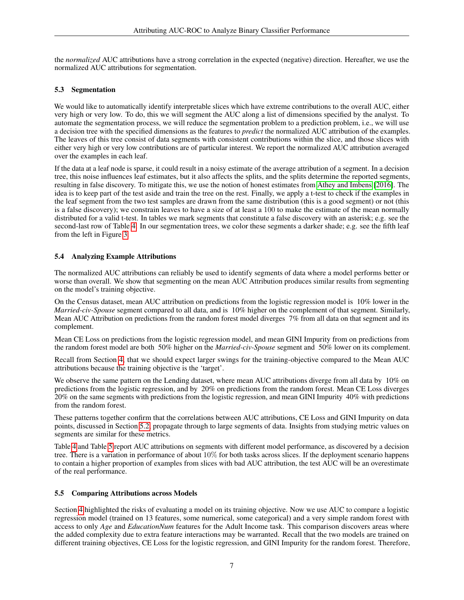the *normalized* AUC attributions have a strong correlation in the expected (negative) direction. Hereafter, we use the normalized AUC attributions for segmentation.

## <span id="page-6-0"></span>5.3 Segmentation

We would like to automatically identify interpretable slices which have extreme contributions to the overall AUC, either very high or very low. To do, this we will segment the AUC along a list of dimensions specified by the analyst. To automate the segmentation process, we will reduce the segmentation problem to a prediction problem, i.e., we will use a decision tree with the specified dimensions as the features to *predict* the normalized AUC attribution of the examples. The leaves of this tree consist of data segments with consistent contributions within the slice, and those slices with either very high or very low contributions are of particular interest. We report the normalized AUC attribution averaged over the examples in each leaf.

If the data at a leaf node is sparse, it could result in a noisy estimate of the average attribution of a segment. In a decision tree, this noise influences leaf estimates, but it also affects the splits, and the splits determine the reported segments, resulting in false discovery. To mitigate this, we use the notion of honest estimates from [Athey and Imbens](#page-12-0) [\[2016\]](#page-12-0). The idea is to keep part of the test aside and train the tree on the rest. Finally, we apply a t-test to check if the examples in the leaf segment from the two test samples are drawn from the same distribution (this is a good segment) or not (this is a false discovery); we constrain leaves to have a size of at least a 100 to make the estimate of the mean normally distributed for a valid t-test. In tables we mark segments that constitute a false discovery with an asterisk; e.g. see the second-last row of Table [4.](#page-7-0) In our segmentation trees, we color these segments a darker shade; e.g. see the fifth leaf from the left in Figure [3.](#page-9-2)

## <span id="page-6-1"></span>5.4 Analyzing Example Attributions

The normalized AUC attributions can reliably be used to identify segments of data where a model performs better or worse than overall. We show that segmenting on the mean AUC Attribution produces similar results from segmenting on the model's training objective.

On the Census dataset, mean AUC attribution on predictions from the logistic regression model is 10% lower in the *Married-civ-Spouse* segment compared to all data, and is 10% higher on the complement of that segment. Similarly, Mean AUC Attribution on predictions from the random forest model diverges 7% from all data on that segment and its complement.

Mean CE Loss on predictions from the logistic regression model, and mean GINI Impurity from on predictions from the random forest model are both 50% higher on the *Married-civ-Spouse* segment and 50% lower on its complement.

Recall from Section [4,](#page-4-0) that we should expect larger swings for the training-objective compared to the Mean AUC attributions because the training objective is the 'target'.

We observe the same pattern on the Lending dataset, where mean AUC attributions diverge from all data by 10% on predictions from the logistic regression, and by 20% on predictions from the random forest. Mean CE Loss diverges 20% on the same segments with predictions from the logistic regression, and mean GINI Impurity 40% with predictions from the random forest.

These patterns together confirm that the correlations between AUC attributions, CE Loss and GINI Impurity on data points, discussed in Section [5.2,](#page-5-0) propagate through to large segments of data. Insights from studying metric values on segments are similar for these metrics.

Table [4](#page-7-0) and Table [5](#page-7-1) report AUC attributions on segments with different model performance, as discovered by a decision tree. There is a variation in performance of about 10% for both tasks across slices. If the deployment scenario happens to contain a higher proportion of examples from slices with bad AUC attribution, the test AUC will be an overestimate of the real performance.

#### <span id="page-6-2"></span>5.5 Comparing Attributions across Models

Section [4](#page-4-0) highlighted the risks of evaluating a model on its training objective. Now we use AUC to compare a logistic regression model (trained on 13 features, some numerical, some categorical) and a very simple random forest with access to only *Age* and *EducationNum* features for the Adult Income task. This comparison discovers areas where the added complexity due to extra feature interactions may be warranted. Recall that the two models are trained on different training objectives, CE Loss for the logistic regression, and GINI Impurity for the random forest. Therefore,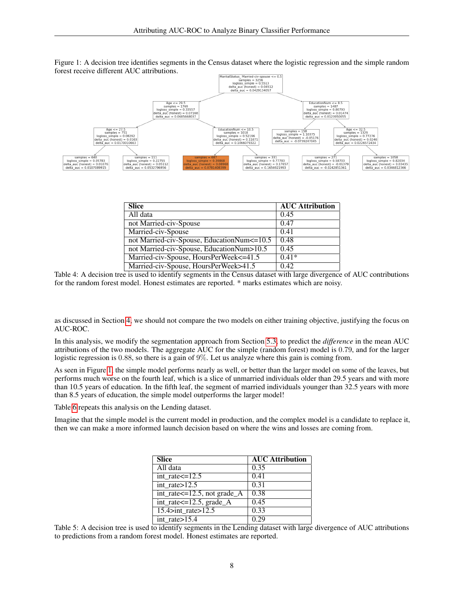<span id="page-7-2"></span>

Figure 1: A decision tree identifies segments in the Census dataset where the logistic regression and the simple random forest receive different AUC attributions.

| <b>Slice</b>                                 | <b>AUC Attribution</b> |
|----------------------------------------------|------------------------|
| All data                                     | 0.45                   |
| not Married-civ-Spouse                       | 0.47                   |
| Married-civ-Spouse                           | 0.41                   |
| not Married-civ-Spouse, EducationNum <= 10.5 | 0.48                   |
| not Married-civ-Spouse, EducationNum>10.5    | 0.45                   |
| Married-civ-Spouse, HoursPerWeek<=41.5       | $0.41*$                |
| Married-civ-Spouse, HoursPerWeek>41.5        | 0.42                   |

<span id="page-7-0"></span>Table 4: A decision tree is used to identify segments in the Census dataset with large divergence of AUC contributions for the random forest model. Honest estimates are reported. \* marks estimates which are noisy.

as discussed in Section [4,](#page-4-0) we should not compare the two models on either training objective, justifying the focus on AUC-ROC.

In this analysis, we modify the segmentation approach from Section [5.3,](#page-6-0) to predict the *difference* in the mean AUC attributions of the two models. The aggregate AUC for the simple (random forest) model is 0.79, and for the larger logistic regression is 0.88, so there is a gain of 9%. Let us analyze where this gain is coming from.

As seen in Figure [1,](#page-7-2) the simple model performs nearly as well, or better than the larger model on some of the leaves, but performs much worse on the fourth leaf, which is a slice of unmarried individuals older than 29.5 years and with more than 10.5 years of education. In the fifth leaf, the segment of married individuals younger than 32.5 years with more than 8.5 years of education, the simple model outperforms the larger model!

Table [6](#page-8-2) repeats this analysis on the Lending dataset.

Imagine that the simple model is the current model in production, and the complex model is a candidate to replace it, then we can make a more informed launch decision based on where the wins and losses are coming from.

| <b>Slice</b>                        | <b>AUC Attribution</b> |
|-------------------------------------|------------------------|
| All data                            | 0.35                   |
| int rate $\leq$ =12.5               | 0.41                   |
| int rate $>12.5$                    | 0.31                   |
| $int_rate \le 12.5$ , not grade $A$ | 0.38                   |
| int_rate <= 12.5, grade_A           | 0.45                   |
| 15.4 $>$ int rate $>$ 12.5          | 0.33                   |
| int rate>15.4                       | 0.29                   |

<span id="page-7-1"></span>Table 5: A decision tree is used to identify segments in the Lending dataset with large divergence of AUC attributions to predictions from a random forest model. Honest estimates are reported.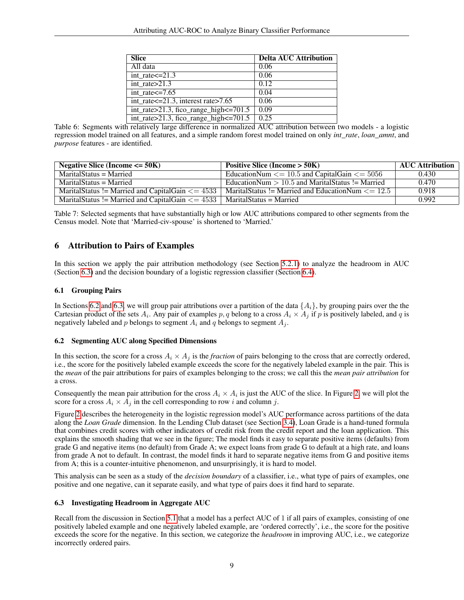| <b>Slice</b>                                     | <b>Delta AUC Attribution</b> |
|--------------------------------------------------|------------------------------|
| All data                                         | 0.06                         |
| $int_rate < = 21.3$                              | 0.06                         |
| int rate $>21.3$                                 | 0.12                         |
| $int_rate < = 7.65$                              | 0.04                         |
| int rate $\leq$ =21.3, interest rate $>$ 7.65    | 0.06                         |
| $int_rate > 21.3$ , fico_range_high $\leq 701.5$ | 0.09                         |
| int_rate>21.3, fico_range_high<=701.5            | 0.25                         |

<span id="page-8-2"></span>Table 6: Segments with relatively large difference in normalized AUC attribution between two models - a logistic regression model trained on all features, and a simple random forest model trained on only *int\_rate*, *loan\_amnt*, and *purpose* features - are identified.

| Negative Slice (Income $\leq$ 50K)                         | Positive Slice (Income $>$ 50K)                             | <b>AUC Attribution</b> |
|------------------------------------------------------------|-------------------------------------------------------------|------------------------|
| MaritalStatus = Married                                    | EducationNum $\leq$ 10.5 and CapitalGain $\leq$ 5056        | 0.430                  |
| MaritalStatus = Married                                    | EducationNum $> 10.5$ and MaritalStatus != Married          | 0.470                  |
| MaritalStatus != Married and CapitalGain $\epsilon$ = 4533 | MaritalStatus != Married and EducationNum $\epsilon$ = 12.5 | 0.918                  |
| MaritalStatus != Married and CapitalGain $\epsilon$ = 4533 | MaritalStatus = Married                                     | 0.992                  |

<span id="page-8-4"></span>Table 7: Selected segments that have substantially high or low AUC attributions compared to other segments from the Census model. Note that 'Married-civ-spouse' is shortened to 'Married.'

# <span id="page-8-1"></span>6 Attribution to Pairs of Examples

In this section we apply the pair attribution methodology (see Section [5.2.1\)](#page-5-3) to analyze the headroom in AUC (Section [6.3\)](#page-8-0) and the decision boundary of a logistic regression classifier (Section [6.4\)](#page-9-0).

#### 6.1 Grouping Pairs

In Sections [6.2](#page-8-3) and [6.3,](#page-8-0) we will group pair attributions over a partition of the data  $\{A_i\}$ , by grouping pairs over the the Cartesian product of the sets  $A_i$ . Any pair of examples  $p, q$  belong to a cross  $A_i \times A_j$  if  $p$  is positively labeled, and  $q$  is negatively labeled and p belongs to segment  $A_i$  and q belongs to segment  $A_i$ .

## <span id="page-8-3"></span>6.2 Segmenting AUC along Specified Dimensions

In this section, the score for a cross  $A_i \times A_j$  is the *fraction* of pairs belonging to the cross that are correctly ordered, i.e., the score for the positively labeled example exceeds the score for the negatively labeled example in the pair. This is the *mean* of the pair attributions for pairs of examples belonging to the cross; we call this the *mean pair attribution* for a cross.

Consequently the mean pair attribution for the cross  $A_i \times A_i$  is just the AUC of the slice. In Figure [2,](#page-9-1) we will plot the score for a cross  $A_i \times A_j$  in the cell corresponding to row i and column j.

Figure [2](#page-9-1) describes the heterogeneity in the logistic regression model's AUC performance across partitions of the data along the *Loan Grade* dimension. In the Lending Club dataset (see Section [3.4\)](#page-3-4), Loan Grade is a hand-tuned formula that combines credit scores with other indicators of credit risk from the credit report and the loan application. This explains the smooth shading that we see in the figure; The model finds it easy to separate positive items (defaults) from grade G and negative items (no default) from Grade A; we expect loans from grade G to default at a high rate, and loans from grade A not to default. In contrast, the model finds it hard to separate negative items from G and positive items from A; this is a counter-intuitive phenomenon, and unsurprisingly, it is hard to model.

This analysis can be seen as a study of the *decision boundary* of a classifier, i.e., what type of pairs of examples, one positive and one negative, can it separate easily, and what type of pairs does it find hard to separate.

#### <span id="page-8-0"></span>6.3 Investigating Headroom in Aggregate AUC

Recall from the discussion in Section [5.1](#page-4-2) that a model has a perfect AUC of 1 if all pairs of examples, consisting of one positively labeled example and one negatively labeled example, are 'ordered correctly', i.e., the score for the positive exceeds the score for the negative. In this section, we categorize the *headroom* in improving AUC, i.e., we categorize incorrectly ordered pairs.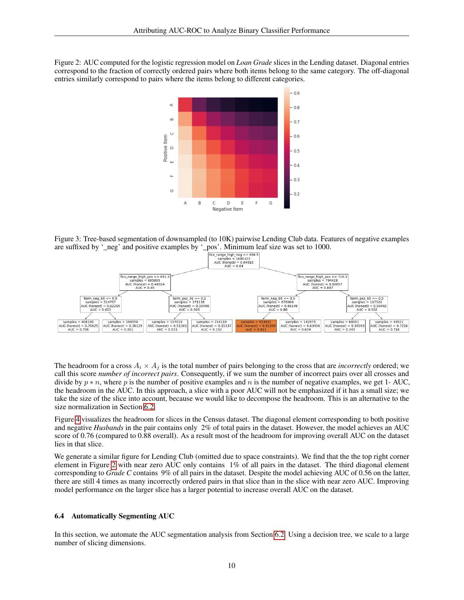<span id="page-9-1"></span>Figure 2: AUC computed for the logistic regression model on *Loan Grade* slices in the Lending dataset. Diagonal entries correspond to the fraction of correctly ordered pairs where both items belong to the same category. The off-diagonal entries similarly correspond to pairs where the items belong to different categories.



<span id="page-9-2"></span>Figure 3: Tree-based segmentation of downsampled (to 10K) pairwise Lending Club data. Features of negative examples



The headroom for a cross  $A_i \times A_j$  is the total number of pairs belonging to the cross that are *incorrectly* ordered; we call this score *number of incorrect pairs*. Consequently, if we sum the number of incorrect pairs over all crosses and divide by  $p * n$ , where p is the number of positive examples and n is the number of negative examples, we get 1- AUC, the headroom in the AUC. In this approach, a slice with a poor AUC will not be emphasized if it has a small size; we take the size of the slice into account, because we would like to decompose the headroom. This is an alternative to the size normalization in Section [6.2.](#page-8-3)

Figure [4](#page-10-0) visualizes the headroom for slices in the Census dataset. The diagonal element corresponding to both positive and negative *Husbands* in the pair contains only 2% of total pairs in the dataset. However, the model achieves an AUC score of 0.76 (compared to 0.88 overall). As a result most of the headroom for improving overall AUC on the dataset lies in that slice.

We generate a similar figure for Lending Club (omitted due to space constraints). We find that the the top right corner element in Figure [2](#page-9-1) with near zero AUC only contains 1% of all pairs in the dataset. The third diagonal element corresponding to *Grade C* contains 9% of all pairs in the dataset. Despite the model achieving AUC of 0.56 on the latter, there are still 4 times as many incorrectly ordered pairs in that slice than in the slice with near zero AUC. Improving model performance on the larger slice has a larger potential to increase overall AUC on the dataset.

#### <span id="page-9-0"></span>6.4 Automatically Segmenting AUC

In this section, we automate the AUC segmentation analysis from Section [6.2.](#page-8-3) Using a decision tree, we scale to a large number of slicing dimensions.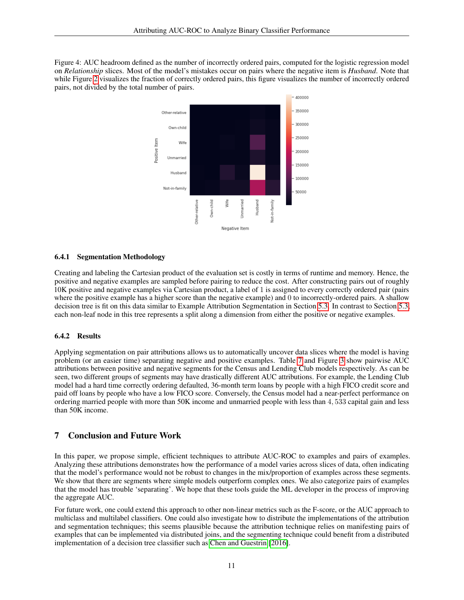<span id="page-10-0"></span>Figure 4: AUC headroom defined as the number of incorrectly ordered pairs, computed for the logistic regression model on *Relationship* slices. Most of the model's mistakes occur on pairs where the negative item is *Husband*. Note that while Figure [2](#page-9-1) visualizes the fraction of correctly ordered pairs, this figure visualizes the number of incorrectly ordered pairs, not divided by the total number of pairs.



#### 6.4.1 Segmentation Methodology

Creating and labeling the Cartesian product of the evaluation set is costly in terms of runtime and memory. Hence, the positive and negative examples are sampled before pairing to reduce the cost. After constructing pairs out of roughly 10K positive and negative examples via Cartesian product, a label of 1 is assigned to every correctly ordered pair (pairs where the positive example has a higher score than the negative example) and  $\theta$  to incorrectly-ordered pairs. A shallow decision tree is fit on this data similar to Example Attribution Segmentation in Section [5.3.](#page-6-0) In contrast to Section [5.3,](#page-6-0) each non-leaf node in this tree represents a split along a dimension from either the positive or negative examples.

#### 6.4.2 Results

Applying segmentation on pair attributions allows us to automatically uncover data slices where the model is having problem (or an easier time) separating negative and positive examples. Table [7](#page-8-4) and Figure [3](#page-9-2) show pairwise AUC attributions between positive and negative segments for the Census and Lending Club models respectively. As can be seen, two different groups of segments may have drastically different AUC attributions. For example, the Lending Club model had a hard time correctly ordering defaulted, 36-month term loans by people with a high FICO credit score and paid off loans by people who have a low FICO score. Conversely, the Census model had a near-perfect performance on ordering married people with more than 50K income and unmarried people with less than 4, 533 capital gain and less than 50K income.

# 7 Conclusion and Future Work

In this paper, we propose simple, efficient techniques to attribute AUC-ROC to examples and pairs of examples. Analyzing these attributions demonstrates how the performance of a model varies across slices of data, often indicating that the model's performance would not be robust to changes in the mix/proportion of examples across these segments. We show that there are segments where simple models outperform complex ones. We also categorize pairs of examples that the model has trouble 'separating'. We hope that these tools guide the ML developer in the process of improving the aggregate AUC.

For future work, one could extend this approach to other non-linear metrics such as the F-score, or the AUC approach to multiclass and multilabel classifiers. One could also investigate how to distribute the implementations of the attribution and segmentation techniques; this seems plausible because the attribution technique relies on manifesting pairs of examples that can be implemented via distributed joins, and the segmenting technique could benefit from a distributed implementation of a decision tree classifier such as [Chen and Guestrin](#page-12-1) [\[2016\]](#page-12-1).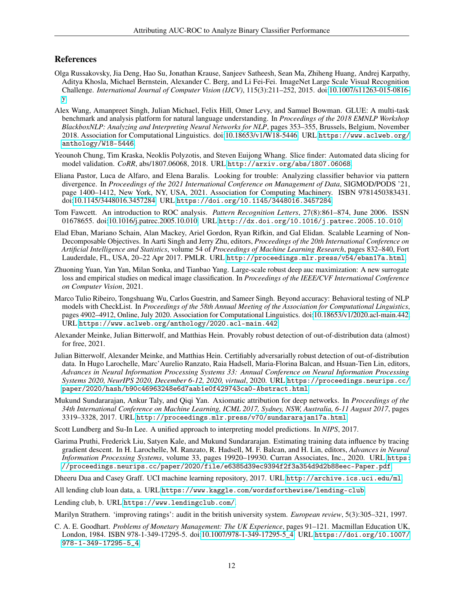#### References

- <span id="page-11-0"></span>Olga Russakovsky, Jia Deng, Hao Su, Jonathan Krause, Sanjeev Satheesh, Sean Ma, Zhiheng Huang, Andrej Karpathy, Aditya Khosla, Michael Bernstein, Alexander C. Berg, and Li Fei-Fei. ImageNet Large Scale Visual Recognition Challenge. *International Journal of Computer Vision (IJCV)*, 115(3):211–252, 2015. doi[:10.1007/s11263-015-0816](https://doi.org/10.1007/s11263-015-0816-y) [y.](https://doi.org/10.1007/s11263-015-0816-y)
- <span id="page-11-1"></span>Alex Wang, Amanpreet Singh, Julian Michael, Felix Hill, Omer Levy, and Samuel Bowman. GLUE: A multi-task benchmark and analysis platform for natural language understanding. In *Proceedings of the 2018 EMNLP Workshop BlackboxNLP: Analyzing and Interpreting Neural Networks for NLP*, pages 353–355, Brussels, Belgium, November 2018. Association for Computational Linguistics. doi[:10.18653/v1/W18-5446.](https://doi.org/10.18653/v1/W18-5446) URL [https://www.aclweb.org/](https://www.aclweb.org/anthology/W18-5446) [anthology/W18-5446](https://www.aclweb.org/anthology/W18-5446).
- <span id="page-11-2"></span>Yeounoh Chung, Tim Kraska, Neoklis Polyzotis, and Steven Euijong Whang. Slice finder: Automated data slicing for model validation. *CoRR*, abs/1807.06068, 2018. URL <http://arxiv.org/abs/1807.06068>.
- <span id="page-11-3"></span>Eliana Pastor, Luca de Alfaro, and Elena Baralis. Looking for trouble: Analyzing classifier behavior via pattern divergence. In *Proceedings of the 2021 International Conference on Management of Data*, SIGMOD/PODS '21, page 1400–1412, New York, NY, USA, 2021. Association for Computing Machinery. ISBN 9781450383431. doi[:10.1145/3448016.3457284.](https://doi.org/10.1145/3448016.3457284) URL <https://doi.org/10.1145/3448016.3457284>.
- <span id="page-11-4"></span>Tom Fawcett. An introduction to ROC analysis. *Pattern Recognition Letters*, 27(8):861–874, June 2006. ISSN 01678655. doi[:10.1016/j.patrec.2005.10.010.](https://doi.org/10.1016/j.patrec.2005.10.010) URL <http://dx.doi.org/10.1016/j.patrec.2005.10.010>.
- <span id="page-11-5"></span>Elad Eban, Mariano Schain, Alan Mackey, Ariel Gordon, Ryan Rifkin, and Gal Elidan. Scalable Learning of Non-Decomposable Objectives. In Aarti Singh and Jerry Zhu, editors, *Proceedings of the 20th International Conference on Artificial Intelligence and Statistics*, volume 54 of *Proceedings of Machine Learning Research*, pages 832–840, Fort Lauderdale, FL, USA, 20–22 Apr 2017. PMLR. URL <http://proceedings.mlr.press/v54/eban17a.html>.
- <span id="page-11-6"></span>Zhuoning Yuan, Yan Yan, Milan Sonka, and Tianbao Yang. Large-scale robust deep auc maximization: A new surrogate loss and empirical studies on medical image classification. In *Proceedings of the IEEE/CVF International Conference on Computer Vision*, 2021.
- <span id="page-11-7"></span>Marco Tulio Ribeiro, Tongshuang Wu, Carlos Guestrin, and Sameer Singh. Beyond accuracy: Behavioral testing of NLP models with CheckList. In *Proceedings of the 58th Annual Meeting of the Association for Computational Linguistics*, pages 4902–4912, Online, July 2020. Association for Computational Linguistics. doi[:10.18653/v1/2020.acl-main.442.](https://doi.org/10.18653/v1/2020.acl-main.442) URL <https://www.aclweb.org/anthology/2020.acl-main.442>.
- <span id="page-11-8"></span>Alexander Meinke, Julian Bitterwolf, and Matthias Hein. Provably robust detection of out-of-distribution data (almost) for free, 2021.
- <span id="page-11-9"></span>Julian Bitterwolf, Alexander Meinke, and Matthias Hein. Certifiably adversarially robust detection of out-of-distribution data. In Hugo Larochelle, Marc'Aurelio Ranzato, Raia Hadsell, Maria-Florina Balcan, and Hsuan-Tien Lin, editors, *Advances in Neural Information Processing Systems 33: Annual Conference on Neural Information Processing Systems 2020, NeurIPS 2020, December 6-12, 2020, virtual*, 2020. URL [https://proceedings.neurips.cc/](https://proceedings.neurips.cc/paper/2020/hash/b90c46963248e6d7aab1e0f429743ca0-Abstract.html) [paper/2020/hash/b90c46963248e6d7aab1e0f429743ca0-Abstract.html](https://proceedings.neurips.cc/paper/2020/hash/b90c46963248e6d7aab1e0f429743ca0-Abstract.html).
- <span id="page-11-10"></span>Mukund Sundararajan, Ankur Taly, and Qiqi Yan. Axiomatic attribution for deep networks. In *Proceedings of the 34th International Conference on Machine Learning, ICML 2017, Sydney, NSW, Australia, 6-11 August 2017*, pages 3319–3328, 2017. URL <http://proceedings.mlr.press/v70/sundararajan17a.html>.

<span id="page-11-11"></span>Scott Lundberg and Su-In Lee. A unified approach to interpreting model predictions. In *NIPS*, 2017.

- <span id="page-11-12"></span>Garima Pruthi, Frederick Liu, Satyen Kale, and Mukund Sundararajan. Estimating training data influence by tracing gradient descent. In H. Larochelle, M. Ranzato, R. Hadsell, M. F. Balcan, and H. Lin, editors, *Advances in Neural Information Processing Systems*, volume 33, pages 19920–19930. Curran Associates, Inc., 2020. URL [https:](https://proceedings.neurips.cc/paper/2020/file/e6385d39ec9394f2f3a354d9d2b88eec-Paper.pdf) [//proceedings.neurips.cc/paper/2020/file/e6385d39ec9394f2f3a354d9d2b88eec-Paper.pdf](https://proceedings.neurips.cc/paper/2020/file/e6385d39ec9394f2f3a354d9d2b88eec-Paper.pdf).
- <span id="page-11-13"></span>Dheeru Dua and Casey Graff. UCI machine learning repository, 2017. URL <http://archive.ics.uci.edu/ml>.
- <span id="page-11-14"></span>All lending club loan data, a. URL <https://www.kaggle.com/wordsforthewise/lending-club>.
- <span id="page-11-15"></span>Lending club, b. URL <https://www.lendingclub.com/>.

<span id="page-11-16"></span>Marilyn Strathern. 'improving ratings': audit in the british university system. *European review*, 5(3):305–321, 1997.

<span id="page-11-17"></span>C. A. E. Goodhart. *Problems of Monetary Management: The UK Experience*, pages 91–121. Macmillan Education UK, London, 1984. ISBN 978-1-349-17295-5. doi[:10.1007/978-1-349-17295-5\\_4.](https://doi.org/10.1007/978-1-349-17295-5_4) URL [https://doi.org/10.1007/](https://doi.org/10.1007/978-1-349-17295-5_4) [978-1-349-17295-5\\_4](https://doi.org/10.1007/978-1-349-17295-5_4).